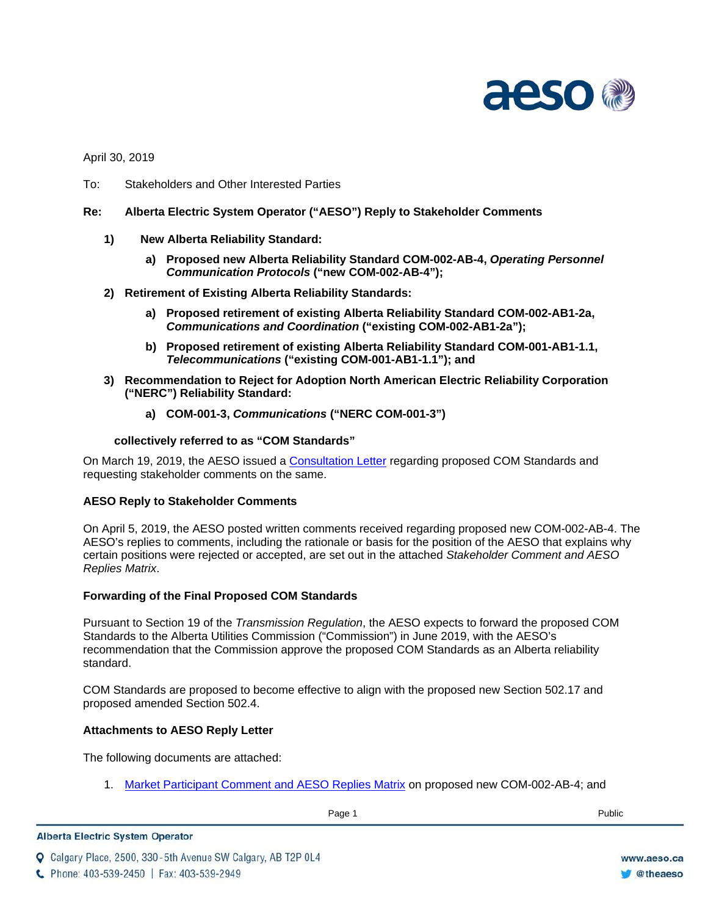

April 30, 2019

- To: Stakeholders and Other Interested Parties
- **Re: Alberta Electric System Operator ("AESO") Reply to Stakeholder Comments**
	- **1) New Alberta Reliability Standard:**
		- **a) Proposed new Alberta Reliability Standard COM-002-AB-4,** *Operating Personnel Communication Protocols* **("new COM-002-AB-4");**
	- **2) Retirement of Existing Alberta Reliability Standards:**
		- **a) Proposed retirement of existing Alberta Reliability Standard COM-002-AB1-2a,**  *Communications and Coordination* **("existing COM-002-AB1-2a");**
		- **b) Proposed retirement of existing Alberta Reliability Standard COM-001-AB1-1.1,**  *Telecommunications* **("existing COM-001-AB1-1.1"); and**
	- **3) Recommendation to Reject for Adoption North American Electric Reliability Corporation ("NERC") Reliability Standard:**
		- **a) COM-001-3,** *Communications* **("NERC COM-001-3")**

#### **collectively referred to as "COM Standards"**

On March 19, 2019, the AESO issued a [Consultation Letter](https://www.aeso.ca/assets/Uploads/Consultation-Letter-COM-001-COM-002-ARS.pdf) regarding proposed COM Standards and requesting stakeholder comments on the same.

### **AESO Reply to Stakeholder Comments**

On April 5, 2019, the AESO posted written comments received regarding proposed new COM-002-AB-4. The AESO's replies to comments, including the rationale or basis for the position of the AESO that explains why certain positions were rejected or accepted, are set out in the attached *Stakeholder Comment and AESO Replies Matrix*.

### **Forwarding of the Final Proposed COM Standards**

Pursuant to Section 19 of the *Transmission Regulation*, the AESO expects to forward the proposed COM Standards to the Alberta Utilities Commission ("Commission") in June 2019, with the AESO's recommendation that the Commission approve the proposed COM Standards as an Alberta reliability standard.

COM Standards are proposed to become effective to align with the proposed new Section 502.17 and proposed amended Section 502.4.

### **Attachments to AESO Reply Letter**

The following documents are attached:

1. [Market Participant Comment and](https://www.aeso.ca/assets/Uploads/Stakeholder-Comment-and-AESO-Reply-Matrix-new-COM-002-AB-4-ARS.pdf) AESO Replies Matrix on proposed new COM-002-AB-4; and

#### **Alberta Electric System Operator**

Q Calgary Place, 2500, 330-5th Avenue SW Calgary, AB T2P 0L4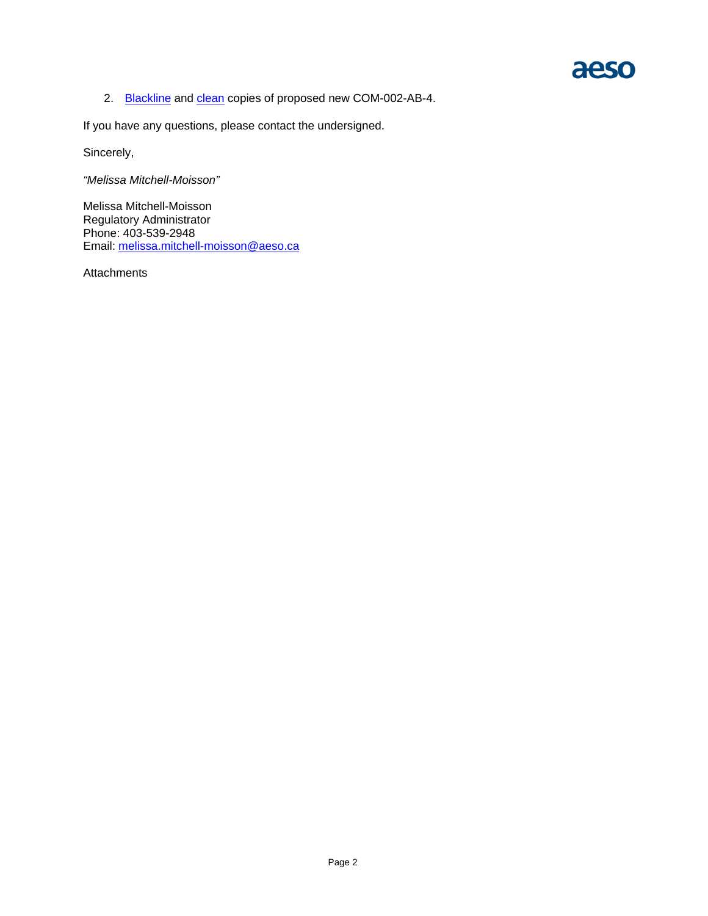# aeso

2. [Blackline](https://www.aeso.ca/assets/Uploads/COM-002-AB-4-blackline.pdf) and [clean](https://www.aeso.ca/assets/Uploads/COM-002-AB-4-clean.pdf) copies of proposed new COM-002-AB-4.

If you have any questions, please contact the undersigned.

Sincerely,

*"Melissa Mitchell-Moisson"*

Melissa Mitchell-Moisson Regulatory Administrator Phone: 403-539-2948 Email: [melissa.mitchell-moisson@aeso.ca](mailto:melissa.mitchell-moisson@aeso.ca)

Attachments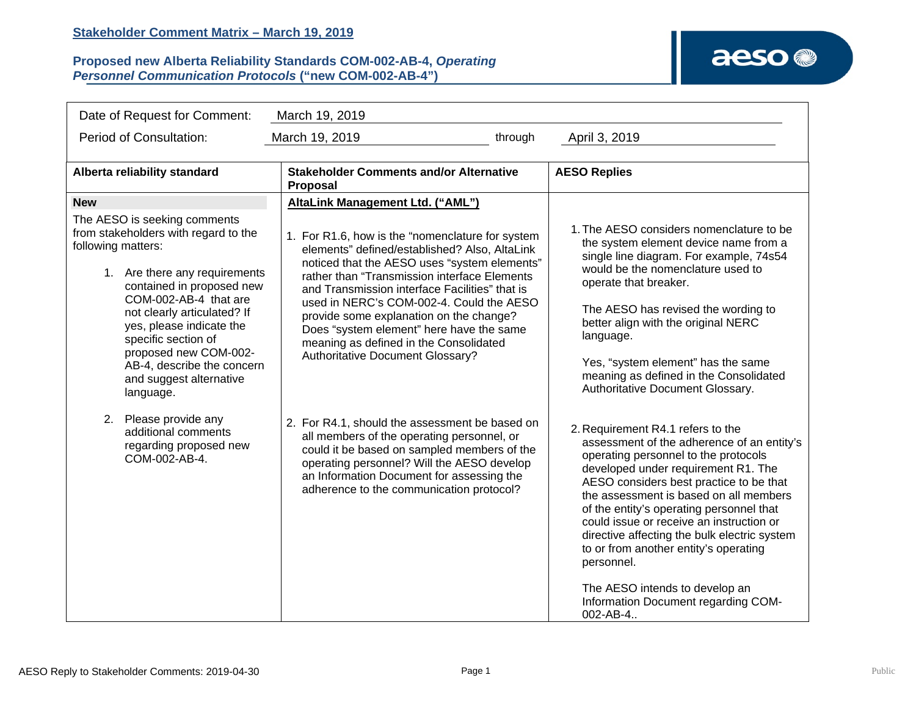### **Proposed new Alberta Reliability Standards COM-002-AB-4,** *Operating Personnel Communication Protocols* **("new COM-002-AB-4")**

## aeso<sup>®</sup>

| Date of Request for Comment:<br>March 19, 2019                        |                                                                                                                                                                                                                                                                                                                                              |                                                                                                                                                                                                                                                                                                                                                                                                                                                                             |                                                                                                                                                                                                                                                                                                                                                                                                                                                                                                                                         |  |  |  |
|-----------------------------------------------------------------------|----------------------------------------------------------------------------------------------------------------------------------------------------------------------------------------------------------------------------------------------------------------------------------------------------------------------------------------------|-----------------------------------------------------------------------------------------------------------------------------------------------------------------------------------------------------------------------------------------------------------------------------------------------------------------------------------------------------------------------------------------------------------------------------------------------------------------------------|-----------------------------------------------------------------------------------------------------------------------------------------------------------------------------------------------------------------------------------------------------------------------------------------------------------------------------------------------------------------------------------------------------------------------------------------------------------------------------------------------------------------------------------------|--|--|--|
| Period of Consultation:<br>through<br>March 19, 2019<br>April 3, 2019 |                                                                                                                                                                                                                                                                                                                                              |                                                                                                                                                                                                                                                                                                                                                                                                                                                                             |                                                                                                                                                                                                                                                                                                                                                                                                                                                                                                                                         |  |  |  |
| Alberta reliability standard                                          |                                                                                                                                                                                                                                                                                                                                              | <b>Stakeholder Comments and/or Alternative</b><br>Proposal                                                                                                                                                                                                                                                                                                                                                                                                                  | <b>AESO Replies</b>                                                                                                                                                                                                                                                                                                                                                                                                                                                                                                                     |  |  |  |
| <b>New</b>                                                            |                                                                                                                                                                                                                                                                                                                                              | AltaLink Management Ltd. ("AML")                                                                                                                                                                                                                                                                                                                                                                                                                                            |                                                                                                                                                                                                                                                                                                                                                                                                                                                                                                                                         |  |  |  |
| following matters:                                                    | The AESO is seeking comments<br>from stakeholders with regard to the<br>1. Are there any requirements<br>contained in proposed new<br>COM-002-AB-4 that are<br>not clearly articulated? If<br>yes, please indicate the<br>specific section of<br>proposed new COM-002-<br>AB-4, describe the concern<br>and suggest alternative<br>language. | 1. For R1.6, how is the "nomenclature for system<br>elements" defined/established? Also, AltaLink<br>noticed that the AESO uses "system elements"<br>rather than "Transmission interface Elements<br>and Transmission interface Facilities" that is<br>used in NERC's COM-002-4. Could the AESO<br>provide some explanation on the change?<br>Does "system element" here have the same<br>meaning as defined in the Consolidated<br><b>Authoritative Document Glossary?</b> | 1. The AESO considers nomenclature to be<br>the system element device name from a<br>single line diagram. For example, 74s54<br>would be the nomenclature used to<br>operate that breaker.<br>The AESO has revised the wording to<br>better align with the original NERC<br>language.<br>Yes, "system element" has the same<br>meaning as defined in the Consolidated<br>Authoritative Document Glossary.                                                                                                                               |  |  |  |
| 2.                                                                    | Please provide any<br>additional comments<br>regarding proposed new<br>COM-002-AB-4.                                                                                                                                                                                                                                                         | 2. For R4.1, should the assessment be based on<br>all members of the operating personnel, or<br>could it be based on sampled members of the<br>operating personnel? Will the AESO develop<br>an Information Document for assessing the<br>adherence to the communication protocol?                                                                                                                                                                                          | 2. Requirement R4.1 refers to the<br>assessment of the adherence of an entity's<br>operating personnel to the protocols<br>developed under requirement R1. The<br>AESO considers best practice to be that<br>the assessment is based on all members<br>of the entity's operating personnel that<br>could issue or receive an instruction or<br>directive affecting the bulk electric system<br>to or from another entity's operating<br>personnel.<br>The AESO intends to develop an<br>Information Document regarding COM-<br>002-AB-4 |  |  |  |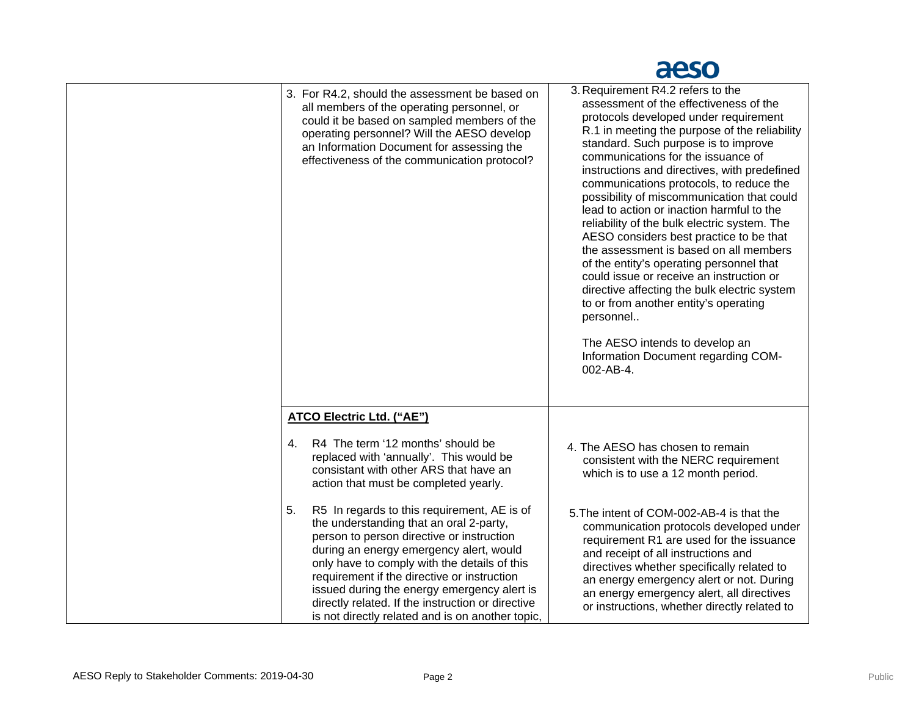# aeso

| 3. For R4.2, should the assessment be based on<br>all members of the operating personnel, or<br>could it be based on sampled members of the<br>operating personnel? Will the AESO develop<br>an Information Document for assessing the<br>effectiveness of the communication protocol?                                                                                                                                                                                                                                                                                                                               | 3. Requirement R4.2 refers to the<br>assessment of the effectiveness of the<br>protocols developed under requirement<br>R.1 in meeting the purpose of the reliability<br>standard. Such purpose is to improve<br>communications for the issuance of<br>instructions and directives, with predefined<br>communications protocols, to reduce the<br>possibility of miscommunication that could<br>lead to action or inaction harmful to the<br>reliability of the bulk electric system. The<br>AESO considers best practice to be that<br>the assessment is based on all members<br>of the entity's operating personnel that<br>could issue or receive an instruction or<br>directive affecting the bulk electric system<br>to or from another entity's operating<br>personnel<br>The AESO intends to develop an<br>Information Document regarding COM-<br>002-AB-4. |
|----------------------------------------------------------------------------------------------------------------------------------------------------------------------------------------------------------------------------------------------------------------------------------------------------------------------------------------------------------------------------------------------------------------------------------------------------------------------------------------------------------------------------------------------------------------------------------------------------------------------|--------------------------------------------------------------------------------------------------------------------------------------------------------------------------------------------------------------------------------------------------------------------------------------------------------------------------------------------------------------------------------------------------------------------------------------------------------------------------------------------------------------------------------------------------------------------------------------------------------------------------------------------------------------------------------------------------------------------------------------------------------------------------------------------------------------------------------------------------------------------|
| <b>ATCO Electric Ltd. ("AE")</b>                                                                                                                                                                                                                                                                                                                                                                                                                                                                                                                                                                                     |                                                                                                                                                                                                                                                                                                                                                                                                                                                                                                                                                                                                                                                                                                                                                                                                                                                                    |
| R4 The term '12 months' should be<br>4.<br>replaced with 'annually'. This would be<br>consistant with other ARS that have an<br>action that must be completed yearly.<br>5.<br>R5 In regards to this requirement, AE is of<br>the understanding that an oral 2-party,<br>person to person directive or instruction<br>during an energy emergency alert, would<br>only have to comply with the details of this<br>requirement if the directive or instruction<br>issued during the energy emergency alert is<br>directly related. If the instruction or directive<br>is not directly related and is on another topic, | 4. The AESO has chosen to remain<br>consistent with the NERC requirement<br>which is to use a 12 month period.<br>5. The intent of COM-002-AB-4 is that the<br>communication protocols developed under<br>requirement R1 are used for the issuance<br>and receipt of all instructions and<br>directives whether specifically related to<br>an energy emergency alert or not. During<br>an energy emergency alert, all directives<br>or instructions, whether directly related to                                                                                                                                                                                                                                                                                                                                                                                   |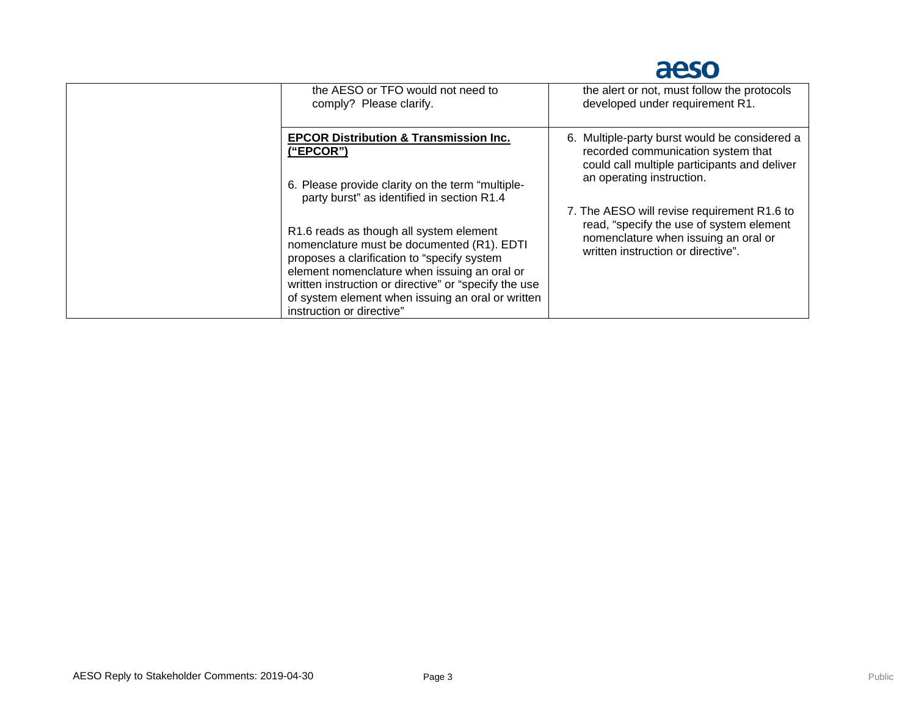

| the AESO or TFO would not need to<br>comply? Please clarify.                                                                                                                                                                                                                                                                    | the alert or not, must follow the protocols<br>developed under requirement R1.                                                                                        |
|---------------------------------------------------------------------------------------------------------------------------------------------------------------------------------------------------------------------------------------------------------------------------------------------------------------------------------|-----------------------------------------------------------------------------------------------------------------------------------------------------------------------|
| <b>EPCOR Distribution &amp; Transmission Inc.</b><br>("EPCOR")<br>6. Please provide clarity on the term "multiple-<br>party burst" as identified in section R1.4                                                                                                                                                                | 6. Multiple-party burst would be considered a<br>recorded communication system that<br>could call multiple participants and deliver<br>an operating instruction.      |
| R1.6 reads as though all system element<br>nomenclature must be documented (R1). EDTI<br>proposes a clarification to "specify system<br>element nomenclature when issuing an oral or<br>written instruction or directive" or "specify the use<br>of system element when issuing an oral or written<br>instruction or directive" | 7. The AESO will revise requirement R1.6 to<br>read, "specify the use of system element<br>nomenclature when issuing an oral or<br>written instruction or directive". |